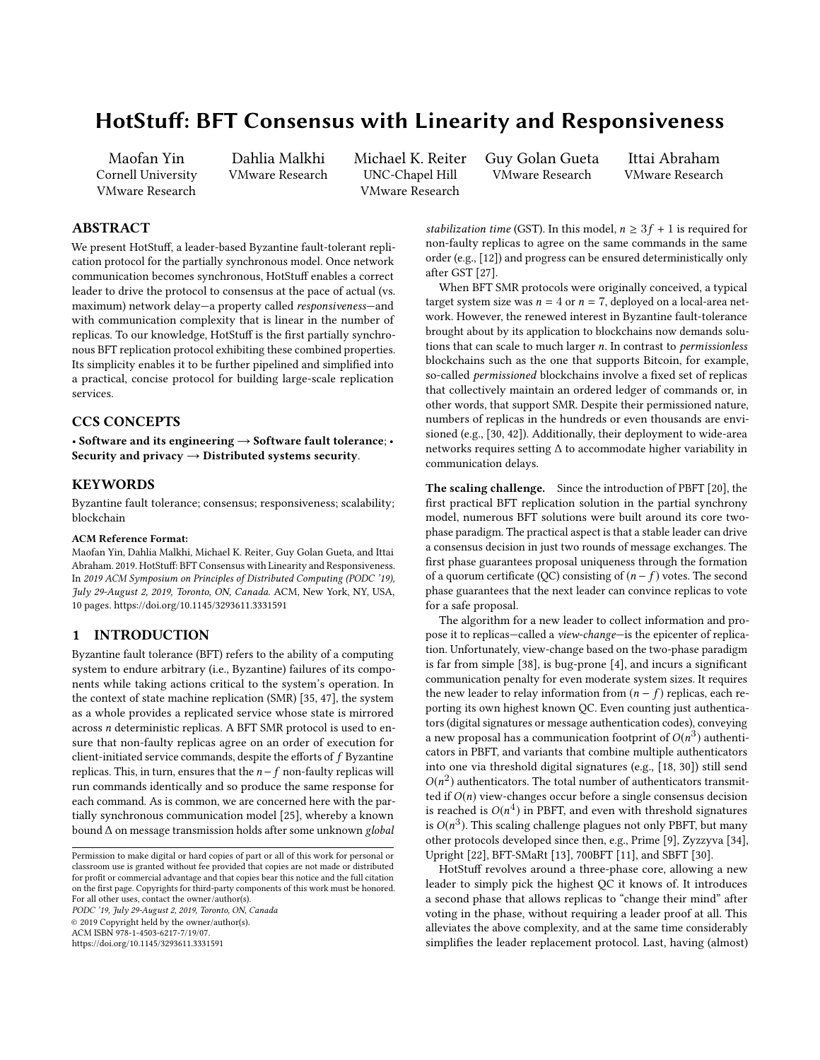# HotStuff: BFT Consensus with Linearity and Responsiveness

Maofan Yin Cornell University VMware Research

Dahlia Malkhi VMware Research

Michael K. Reiter UNC-Chapel Hill VMware Research

Guy Golan Gueta VMware Research

Ittai Abraham VMware Research

# ABSTRACT

We present HotStuff, a leader-based Byzantine fault-tolerant replication protocol for the partially synchronous model. Once network communication becomes synchronous, HotStuff enables a correct leader to drive the protocol to consensus at the pace of actual (vs. maximum) network delay—a property called responsiveness—and with communication complexity that is linear in the number of replicas. To our knowledge, HotStuff is the first partially synchronous BFT replication protocol exhibiting these combined properties. Its simplicity enables it to be further pipelined and simplified into a practical, concise protocol for building large-scale replication services.

## CCS CONCEPTS

• Software and its engineering  $\rightarrow$  Software fault tolerance; • Security and privacy  $\rightarrow$  Distributed systems security.

# **KEYWORDS**

Byzantine fault tolerance; consensus; responsiveness; scalability; blockchain

#### ACM Reference Format:

Maofan Yin, Dahlia Malkhi, Michael K. Reiter, Guy Golan Gueta, and Ittai Abraham. 2019. HotStuff: BFT Consensus with Linearity and Responsiveness. In 2019 ACM Symposium on Principles of Distributed Computing (PODC '19), July 29-August 2, 2019, Toronto, ON, Canada. ACM, New York, NY, USA, [10](#page-9-0) pages.<https://doi.org/10.1145/3293611.3331591>

#### **INTRODUCTION**

Byzantine fault tolerance (BFT) refers to the ability of a computing system to endure arbitrary (i.e., Byzantine) failures of its components while taking actions critical to the system's operation. In the context of state machine replication (SMR) [\[35,](#page-9-1) [47\]](#page-9-2), the system as a whole provides a replicated service whose state is mirrored across n deterministic replicas. A BFT SMR protocol is used to ensure that non-faulty replicas agree on an order of execution for client-initiated service commands, despite the efforts of  $f$  Byzantine replicas. This, in turn, ensures that the  $n-f$  non-faulty replicas will run commands identically and so produce the same response for each command. As is common, we are concerned here with the partially synchronous communication model [\[25\]](#page-9-3), whereby a known bound ∆ on message transmission holds after some unknown global

PODC '19, July 29-August 2, 2019, Toronto, ON, Canada © 2019 Copyright held by the owner/author(s).

ACM ISBN 978-1-4503-6217-7/19/07.

<https://doi.org/10.1145/3293611.3331591>

stabilization time (GST). In this model,  $n \geq 3f + 1$  is required for non-faulty replicas to agree on the same commands in the same order (e.g., [\[12\]](#page-9-4)) and progress can be ensured deterministically only after GST [\[27\]](#page-9-5).

When BFT SMR protocols were originally conceived, a typical target system size was  $n = 4$  or  $n = 7$ , deployed on a local-area network. However, the renewed interest in Byzantine fault-tolerance brought about by its application to blockchains now demands solutions that can scale to much larger n. In contrast to permissionless blockchains such as the one that supports Bitcoin, for example, so-called permissioned blockchains involve a fixed set of replicas that collectively maintain an ordered ledger of commands or, in other words, that support SMR. Despite their permissioned nature, numbers of replicas in the hundreds or even thousands are envisioned (e.g., [\[30,](#page-9-6) [42\]](#page-9-7)). Additionally, their deployment to wide-area networks requires setting ∆ to accommodate higher variability in communication delays.

The scaling challenge. Since the introduction of PBFT [\[20\]](#page-9-8), the first practical BFT replication solution in the partial synchrony model, numerous BFT solutions were built around its core twophase paradigm. The practical aspect is that a stable leader can drive a consensus decision in just two rounds of message exchanges. The first phase guarantees proposal uniqueness through the formation of a quorum certificate (QC) consisting of  $(n - f)$  votes. The second phase guarantees that the next leader can convince replicas to vote for a safe proposal.

The algorithm for a new leader to collect information and propose it to replicas—called a view-change—is the epicenter of replication. Unfortunately, view-change based on the two-phase paradigm is far from simple [\[38\]](#page-9-9), is bug-prone [\[4\]](#page-8-0), and incurs a significant communication penalty for even moderate system sizes. It requires the new leader to relay information from  $(n - f)$  replicas, each reporting its own highest known QC. Even counting just authenticators (digital signatures or message authentication codes), conveying a new proposal has a communication footprint of  $O(n^3)$  authenti-<br>cators in PBET, and variants that combine multiple authenticators cators in PBFT, and variants that combine multiple authenticators into one via threshold digital signatures (e.g., [\[18,](#page-9-10) [30\]](#page-9-6)) still send  $O(n^2)$  authenticators. The total number of authenticators transmit-<br>ted if  $O(n)$  view-changes occur before a single consensus decision ted if  $O(n)$  view-changes occur before a single consensus decision is reached is  $O(n^4)$  in PBFT, and even with threshold signatures<br>is  $O(n^3)$ . This scaling challenge plagues not only PBFT, but many is  $O(n^3)$ . This scaling challenge plagues not only PBFT, but many<br>other protocols developed since then e.g. Prime [9]. Zyzzyze [34] other protocols developed since then, e.g., Prime [\[9\]](#page-9-11), Zyzzyva [\[34\]](#page-9-12), Upright [\[22\]](#page-9-13), BFT-SMaRt [\[13\]](#page-9-14), 700BFT [\[11\]](#page-9-15), and SBFT [\[30\]](#page-9-6).

HotStuff revolves around a three-phase core, allowing a new leader to simply pick the highest QC it knows of. It introduces a second phase that allows replicas to "change their mind" after voting in the phase, without requiring a leader proof at all. This alleviates the above complexity, and at the same time considerably simplifies the leader replacement protocol. Last, having (almost)

Permission to make digital or hard copies of part or all of this work for personal or classroom use is granted without fee provided that copies are not made or distributed for profit or commercial advantage and that copies bear this notice and the full citation on the first page. Copyrights for third-party components of this work must be honored. For all other uses, contact the owner/author(s).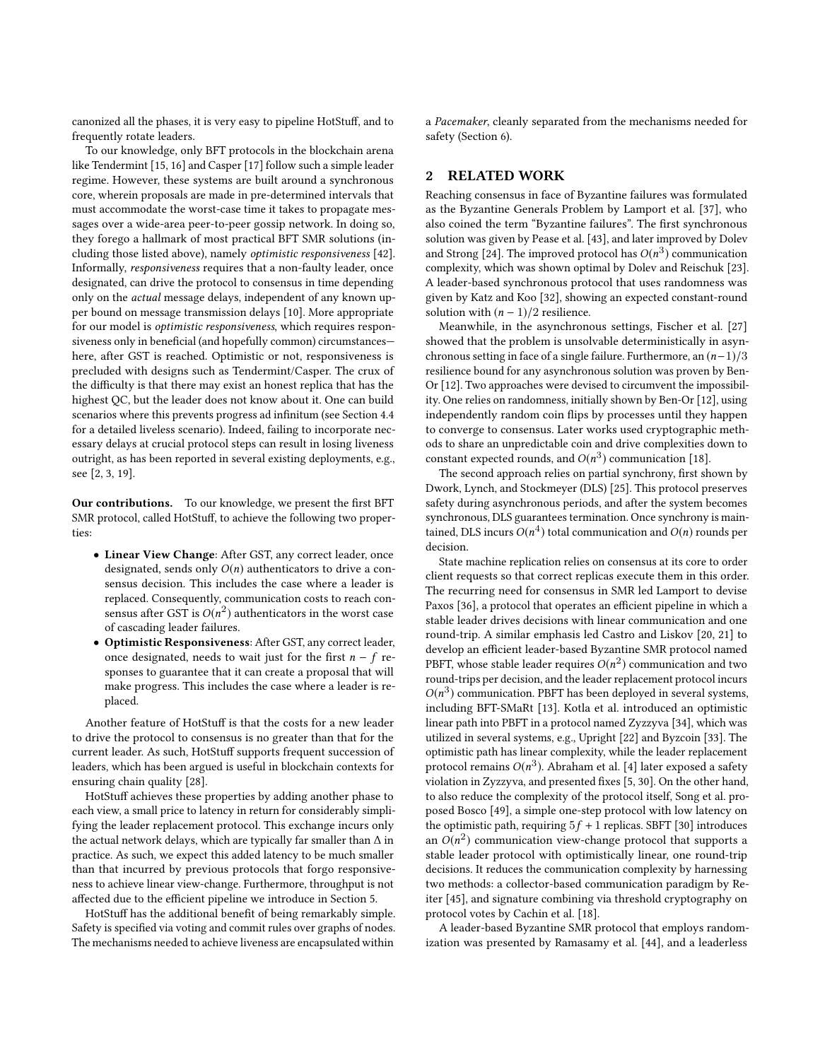canonized all the phases, it is very easy to pipeline HotStuff, and to frequently rotate leaders.

To our knowledge, only BFT protocols in the blockchain arena like Tendermint [\[15,](#page-9-16) [16\]](#page-9-17) and Casper [\[17\]](#page-9-18) follow such a simple leader regime. However, these systems are built around a synchronous core, wherein proposals are made in pre-determined intervals that must accommodate the worst-case time it takes to propagate messages over a wide-area peer-to-peer gossip network. In doing so, they forego a hallmark of most practical BFT SMR solutions (including those listed above), namely optimistic responsiveness [\[42\]](#page-9-7). Informally, responsiveness requires that a non-faulty leader, once designated, can drive the protocol to consensus in time depending only on the actual message delays, independent of any known upper bound on message transmission delays [\[10\]](#page-9-19). More appropriate for our model is optimistic responsiveness, which requires responsiveness only in beneficial (and hopefully common) circumstances here, after GST is reached. Optimistic or not, responsiveness is precluded with designs such as Tendermint/Casper. The crux of the difficulty is that there may exist an honest replica that has the highest QC, but the leader does not know about it. One can build scenarios where this prevents progress ad infinitum (see Section [4.4](#page-4-0) for a detailed liveless scenario). Indeed, failing to incorporate necessary delays at crucial protocol steps can result in losing liveness outright, as has been reported in several existing deployments, e.g., see [\[2,](#page-8-1) [3,](#page-8-2) [19\]](#page-9-20).

Our contributions. To our knowledge, we present the first BFT SMR protocol, called HotStuff, to achieve the following two properties:

- Linear View Change: After GST, any correct leader, once designated, sends only  $O(n)$  authenticators to drive a consensus decision. This includes the case where a leader is replaced. Consequently, communication costs to reach consensus after GST is  $O(n^2)$  authenticators in the worst case<br>of cascading leader failures of cascading leader failures.
- Optimistic Responsiveness: After GST, any correct leader, once designated, needs to wait just for the first  $n - f$  responses to guarantee that it can create a proposal that will make progress. This includes the case where a leader is replaced.

Another feature of HotStuff is that the costs for a new leader to drive the protocol to consensus is no greater than that for the current leader. As such, HotStuff supports frequent succession of leaders, which has been argued is useful in blockchain contexts for ensuring chain quality [\[28\]](#page-9-21).

HotStuff achieves these properties by adding another phase to each view, a small price to latency in return for considerably simplifying the leader replacement protocol. This exchange incurs only the actual network delays, which are typically far smaller than  $\Delta$  in practice. As such, we expect this added latency to be much smaller than that incurred by previous protocols that forgo responsiveness to achieve linear view-change. Furthermore, throughput is not affected due to the efficient pipeline we introduce in Section [5.](#page-6-0)

HotStuff has the additional benefit of being remarkably simple. Safety is specified via voting and commit rules over graphs of nodes. The mechanisms needed to achieve liveness are encapsulated within

a Pacemaker, cleanly separated from the mechanisms needed for safety (Section [6\)](#page-7-0).

## 2 RELATED WORK

Reaching consensus in face of Byzantine failures was formulated as the Byzantine Generals Problem by Lamport et al. [\[37\]](#page-9-22), who also coined the term "Byzantine failures". The first synchronous solution was given by Pease et al. [\[43\]](#page-9-23), and later improved by Dolev and Strong [\[24\]](#page-9-24). The improved protocol has  $O(n^3)$  communication<br>complexity which was shown optimal by Doley and Beischuk [23] complexity, which was shown optimal by Dolev and Reischuk [\[23\]](#page-9-25). A leader-based synchronous protocol that uses randomness was given by Katz and Koo [\[32\]](#page-9-26), showing an expected constant-round solution with  $(n - 1)/2$  resilience.

Meanwhile, in the asynchronous settings, Fischer et al. [\[27\]](#page-9-5) showed that the problem is unsolvable deterministically in asynchronous setting in face of a single failure. Furthermore, an  $(n-1)/3$ resilience bound for any asynchronous solution was proven by Ben-Or [\[12\]](#page-9-4). Two approaches were devised to circumvent the impossibility. One relies on randomness, initially shown by Ben-Or [\[12\]](#page-9-4), using independently random coin flips by processes until they happen to converge to consensus. Later works used cryptographic methods to share an unpredictable coin and drive complexities down to constant expected rounds, and  $O(n^3)$  communication [\[18\]](#page-9-10).<br>The second approach relies on partial synchrony first sh

The second approach relies on partial synchrony, first shown by Dwork, Lynch, and Stockmeyer (DLS) [\[25\]](#page-9-3). This protocol preserves safety during asynchronous periods, and after the system becomes synchronous, DLS guarantees termination. Once synchrony is maintained, DLS incurs  $O(n^4)$  total communication and  $O(n)$  rounds per decision.

State machine replication relies on consensus at its core to order client requests so that correct replicas execute them in this order. The recurring need for consensus in SMR led Lamport to devise Paxos [\[36\]](#page-9-27), a protocol that operates an efficient pipeline in which a stable leader drives decisions with linear communication and one round-trip. A similar emphasis led Castro and Liskov [\[20,](#page-9-8) [21\]](#page-9-28) to develop an efficient leader-based Byzantine SMR protocol named PBFT, whose stable leader requires  $O(n^2)$  communication and two<br>round-trips per decision, and the leader replacement protocol incurs round-trips per decision, and the leader replacement protocol incurs  $O(n^3)$  communication. PBFT has been deployed in several systems,<br>including BET-SMaPt [13]. Kotla et al. introduced an optimistic including BFT-SMaRt [\[13\]](#page-9-14). Kotla et al. introduced an optimistic linear path into PBFT in a protocol named Zyzzyva [\[34\]](#page-9-12), which was utilized in several systems, e.g., Upright [\[22\]](#page-9-13) and Byzcoin [\[33\]](#page-9-29). The optimistic path has linear complexity, while the leader replacement protocol remains  $O(n^3)$ . Abraham et al. [\[4\]](#page-8-0) later exposed a safety<br>violation in Zyzzyna, and presented fixes [5, 30]. On the other hand violation in Zyzzyva, and presented fixes [\[5,](#page-8-3) [30\]](#page-9-6). On the other hand, to also reduce the complexity of the protocol itself, Song et al. proposed Bosco [\[49\]](#page-9-30), a simple one-step protocol with low latency on the optimistic path, requiring  $5f + 1$  replicas. SBFT [\[30\]](#page-9-6) introduces an  $O(n^2)$  communication view-change protocol that supports a stable leader protocol with optimistically linear one round-trip stable leader protocol with optimistically linear, one round-trip decisions. It reduces the communication complexity by harnessing two methods: a collector-based communication paradigm by Reiter [\[45\]](#page-9-31), and signature combining via threshold cryptography on protocol votes by Cachin et al. [\[18\]](#page-9-10).

A leader-based Byzantine SMR protocol that employs randomization was presented by Ramasamy et al. [\[44\]](#page-9-32), and a leaderless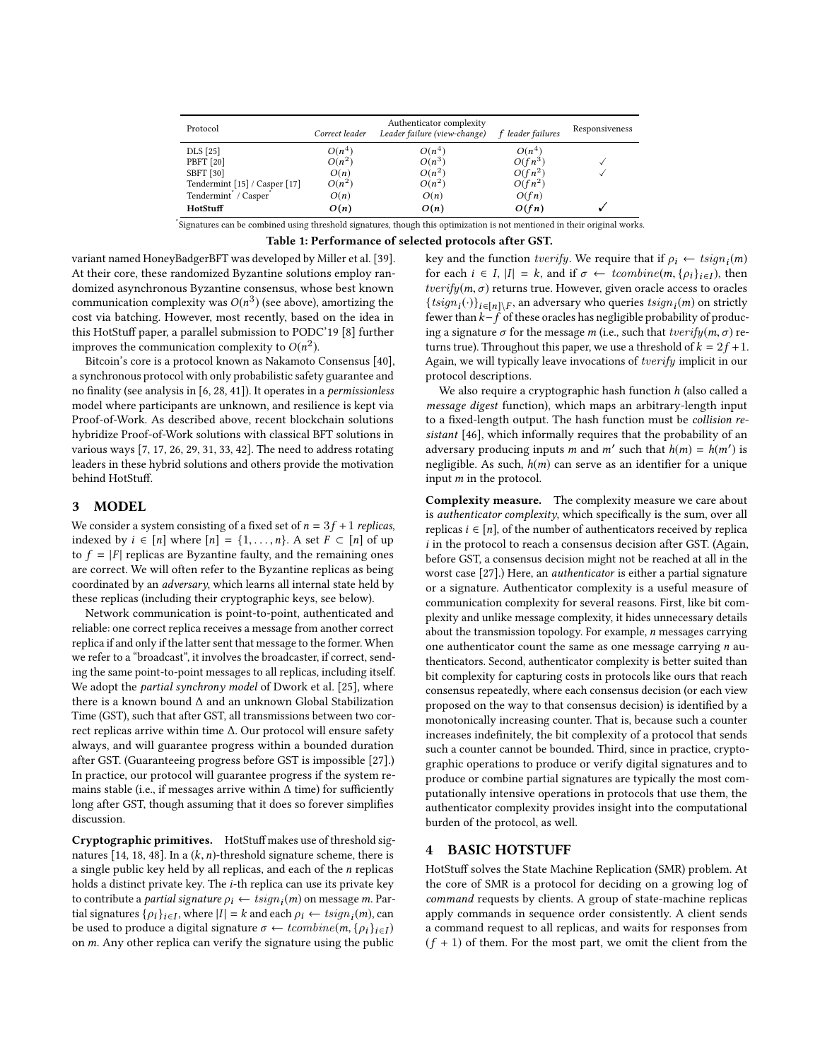| Protocol                      | Correct leader | Authenticator complexity<br>Leader failure (view-change) | f leader failures | Responsiveness |
|-------------------------------|----------------|----------------------------------------------------------|-------------------|----------------|
| DLS [25]                      | $O(n^4)$       | $O(n^4)$                                                 | $O(n^4)$          |                |
| PBFT [20]                     | $O(n^2)$       | $O(n^3)$                                                 | $O(fn^3)$         |                |
| <b>SBFT</b> [30]              | O(n)           | $O(n^2)$                                                 | $O(fn^2)$         |                |
| Tendermint [15] / Casper [17] | $O(n^2)$       | $O(n^2)$                                                 | $O(fn^2)$         |                |
| Tendermint / Casper           | O(n)           | O(n)                                                     | O(fn)             |                |
| HotStuff                      | O(n)           | O(n)                                                     | O(fn)             |                |

\* Signatures can be combined using threshold signatures, though this optimization is not mentioned in their original works.

Table 1: Performance of selected protocols after GST.

variant named HoneyBadgerBFT was developed by Miller et al. [\[39\]](#page-9-33). At their core, these randomized Byzantine solutions employ randomized asynchronous Byzantine consensus, whose best known communication complexity was  $O(n^3)$  (see above), amortizing the cost via batching. However, most recently, based on the idea in cost via batching. However, most recently, based on the idea in this HotStuff paper, a parallel submission to PODC'19 [\[8\]](#page-9-34) further improves the communication complexity to  $O(n^2)$ .<br>Bitcoin's core is a protocol known as Nakamoto is

Bitcoin's core is a protocol known as Nakamoto Consensus [\[40\]](#page-9-35), a synchronous protocol with only probabilistic safety guarantee and no finality (see analysis in [\[6,](#page-9-36) [28,](#page-9-21) [41\]](#page-9-37)). It operates in a permissionless model where participants are unknown, and resilience is kept via Proof-of-Work. As described above, recent blockchain solutions hybridize Proof-of-Work solutions with classical BFT solutions in various ways [\[7,](#page-9-38) [17,](#page-9-18) [26,](#page-9-39) [29,](#page-9-40) [31,](#page-9-41) [33,](#page-9-29) [42\]](#page-9-7). The need to address rotating leaders in these hybrid solutions and others provide the motivation behind HotStuff.

# 3 MODEL

We consider a system consisting of a fixed set of  $n = 3f + 1$  replicas, indexed by  $i \in [n]$  where  $[n] = \{1, \ldots, n\}$ . A set  $F \subset [n]$  of up to  $f = |F|$  replicas are Byzantine faulty, and the remaining ones are correct. We will often refer to the Byzantine replicas as being coordinated by an adversary, which learns all internal state held by these replicas (including their cryptographic keys, see below).

Network communication is point-to-point, authenticated and reliable: one correct replica receives a message from another correct replica if and only if the latter sent that message to the former. When we refer to a "broadcast", it involves the broadcaster, if correct, sending the same point-to-point messages to all replicas, including itself. We adopt the *partial synchrony model* of Dwork et al. [\[25\]](#page-9-3), where there is a known bound ∆ and an unknown Global Stabilization Time (GST), such that after GST, all transmissions between two correct replicas arrive within time ∆. Our protocol will ensure safety always, and will guarantee progress within a bounded duration after GST. (Guaranteeing progress before GST is impossible [\[27\]](#page-9-5).) In practice, our protocol will guarantee progress if the system remains stable (i.e., if messages arrive within ∆ time) for sufficiently long after GST, though assuming that it does so forever simplifies discussion.

Cryptographic primitives. HotStuff makes use of threshold sig-natures [\[14,](#page-9-42) [18,](#page-9-10) [48\]](#page-9-43). In a  $(k, n)$ -threshold signature scheme, there is a single public key held by all replicas, and each of the  $n$  replicas holds a distinct private key. The *i*-th replica can use its private key to contribute a *partial signature*  $\rho_i \leftarrow tsign_i(m)$  on message *m*. Partial signatures  $\{\rho_i\}_{i \in \mathcal{I}}$  where  $|I| - k$  and each  $\rho_i \leftarrow tsign_i(m)$  can tial signatures  $\{\rho_i\}_{i \in I}$ , where  $|I| = k$  and each  $\rho_i \leftarrow tsign_i(m)$ , can<br>be used to produce a digital signature  $\sigma \leftarrow tconfine(m, \{o_i\}_{i \in I})$ be used to produce a digital signature  $\sigma \leftarrow tcombine(m, \{p_i\}_{i \in I})$ <br>on m, Any other replies can verify the signature using the public on m. Any other replica can verify the signature using the public

key and the function *tverify*. We require that if  $\rho_i \leftarrow tsign_i(m)$ <br>for each  $i \in I$ ,  $|I| = k$ , and if  $\sigma \leftarrow tconfine(m, \{a_i\}_{i \in I})$ , then for each  $i \in I$ ,  $|I| = k$ , and if  $\sigma \leftarrow tcombine(m, \{p_i\}_{i \in I})$ , then the right of  $\sigma$  returns true However, given oracle access to oracles  $tverify(m, \sigma)$  returns true. However, given oracle access to oracles  ${tsign_i(\cdot)}_{i \in [n]\setminus F}$ , an adversary who queries  $tsign_i(m)$  on strictly  $f$  or  $f$  of these oracles has negligible probability of producfewer than  $k - f$  of these oracles has negligible probability of produc-<br>ing a signature  $\sigma$  for the message m (i.e., such that tuerifu(m,  $\sigma$ ) reing a signature  $\sigma$  for the message m (i.e., such that  $tverify(m, \sigma)$  returns true). Throughout this paper, we use a threshold of  $k = 2f + 1$ . Again, we will typically leave invocations of tverify implicit in our protocol descriptions.

We also require a cryptographic hash function  $h$  (also called a message digest function), which maps an arbitrary-length input to a fixed-length output. The hash function must be collision resistant [\[46\]](#page-9-44), which informally requires that the probability of an adversary producing inputs m and m' such that  $h(m) = h(m')$  is<br>negligible. As such  $h(m)$  can serve as an identifier for a unique negligible. As such,  $h(m)$  can serve as an identifier for a unique input m in the protocol.

Complexity measure. The complexity measure we care about is authenticator complexity, which specifically is the sum, over all replicas  $i \in [n]$ , of the number of authenticators received by replica  $i$  in the protocol to reach a consensus decision after GST. (Again, before GST, a consensus decision might not be reached at all in the worst case [\[27\]](#page-9-5).) Here, an authenticator is either a partial signature or a signature. Authenticator complexity is a useful measure of communication complexity for several reasons. First, like bit complexity and unlike message complexity, it hides unnecessary details about the transmission topology. For example, n messages carrying one authenticator count the same as one message carrying  $n$  authenticators. Second, authenticator complexity is better suited than bit complexity for capturing costs in protocols like ours that reach consensus repeatedly, where each consensus decision (or each view proposed on the way to that consensus decision) is identified by a monotonically increasing counter. That is, because such a counter increases indefinitely, the bit complexity of a protocol that sends such a counter cannot be bounded. Third, since in practice, cryptographic operations to produce or verify digital signatures and to produce or combine partial signatures are typically the most computationally intensive operations in protocols that use them, the authenticator complexity provides insight into the computational burden of the protocol, as well.

#### 4 BASIC HOTSTUFF

HotStuff solves the State Machine Replication (SMR) problem. At the core of SMR is a protocol for deciding on a growing log of command requests by clients. A group of state-machine replicas apply commands in sequence order consistently. A client sends a command request to all replicas, and waits for responses from  $(f + 1)$  of them. For the most part, we omit the client from the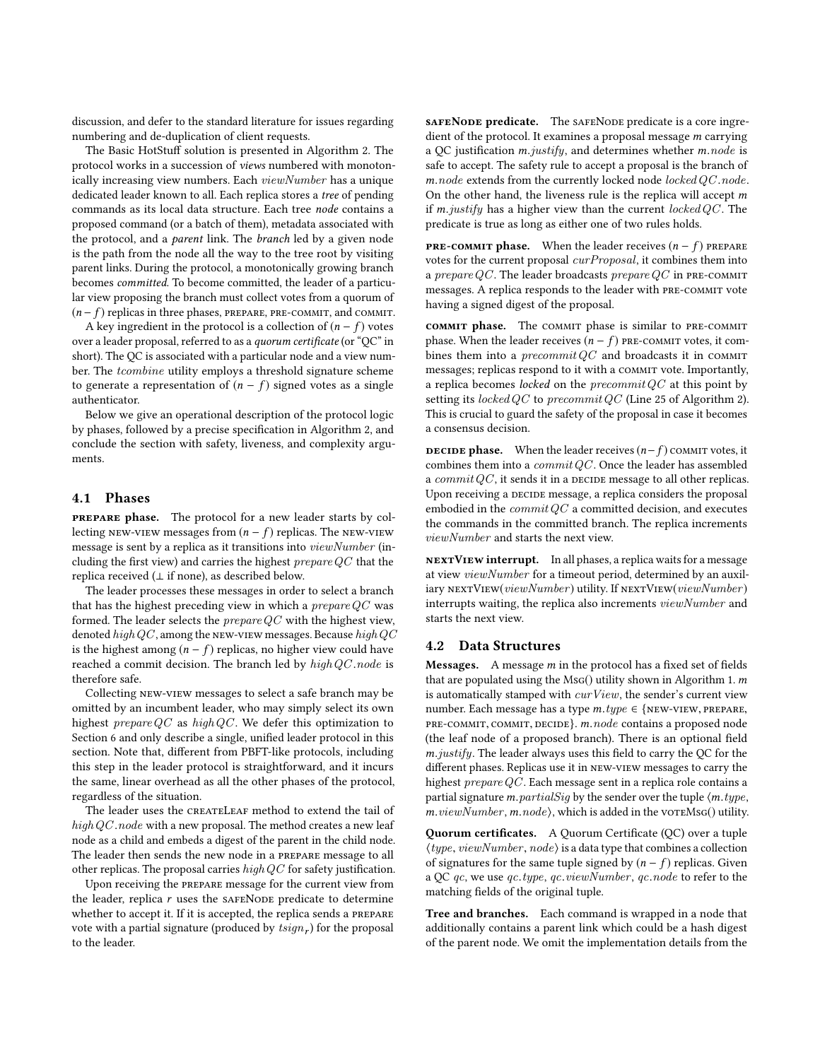discussion, and defer to the standard literature for issues regarding numbering and de-duplication of client requests.

The Basic HotStuff solution is presented in Algorithm [2.](#page-4-1) The protocol works in a succession of views numbered with monotonically increasing view numbers. Each viewNumber has a unique dedicated leader known to all. Each replica stores a tree of pending commands as its local data structure. Each tree node contains a proposed command (or a batch of them), metadata associated with the protocol, and a parent link. The branch led by a given node is the path from the node all the way to the tree root by visiting parent links. During the protocol, a monotonically growing branch becomes committed. To become committed, the leader of a particular view proposing the branch must collect votes from a quorum of  $(n - f)$  replicas in three phases, PREPARE, PRE-COMMIT, and COMMIT.

A key ingredient in the protocol is a collection of  $(n - f)$  votes over a leader proposal, referred to as a quorum certificate (or "QC" in short). The QC is associated with a particular node and a view number. The *tcombine* utility employs a threshold signature scheme to generate a representation of  $(n - f)$  signed votes as a single authenticator.

Below we give an operational description of the protocol logic by phases, followed by a precise specification in Algorithm [2,](#page-4-1) and conclude the section with safety, liveness, and complexity arguments.

#### 4.1 Phases

prepare phase. The protocol for a new leader starts by collecting new-view messages from  $(n - f)$  replicas. The new-view message is sent by a replica as it transitions into *viewNumber* (including the first view) and carries the highest  $prepareQC$  that the replica received  $(\perp$  if none), as described below.

The leader processes these messages in order to select a branch that has the highest preceding view in which a  $prepareQC$  was formed. The leader selects the  $prepareQC$  with the highest view, denoted high QC, among the NEW-VIEW messages. Because high QC is the highest among  $(n - f)$  replicas, no higher view could have reached a commit decision. The branch led by high QC node is therefore safe.

Collecting new-view messages to select a safe branch may be omitted by an incumbent leader, who may simply select its own highest  $prepareQC$  as  $highQC$ . We defer this optimization to Section [6](#page-7-0) and only describe a single, unified leader protocol in this section. Note that, different from PBFT-like protocols, including this step in the leader protocol is straightforward, and it incurs the same, linear overhead as all the other phases of the protocol, regardless of the situation.

The leader uses the CREATELEAF method to extend the tail of  $highQC-node$  with a new proposal. The method creates a new leaf node as a child and embeds a digest of the parent in the child node. The leader then sends the new node in a prepare message to all other replicas. The proposal carries  $highQC$  for safety justification.

Upon receiving the prepare message for the current view from the leader, replica  $r$  uses the sAFENODE predicate to determine whether to accept it. If it is accepted, the replica sends a prepare vote with a partial signature (produced by  $tsign_r$ ) for the proposal to the leader.

saFENODE predicate. The SAFENODE predicate is a core ingredient of the protocol. It examines a proposal message m carrying a QC justification m.justify, and determines whether m.node is safe to accept. The safety rule to accept a proposal is the branch of  $m-node$  extends from the currently locked node locked  $QC$  .node. On the other hand, the liveness rule is the replica will accept  $m$ if m.justify has a higher view than the current locked  $QC$ . The predicate is true as long as either one of two rules holds.

**PRE-COMMIT phase.** When the leader receives  $(n - f)$  prepare votes for the current proposal curProposal, it combines them into a prepare QC. The leader broadcasts prepare QC in PRE-COMMIT messages. A replica responds to the leader with PRE-COMMIT vote having a signed digest of the proposal.

commit phase. The commit phase is similar to pre-commit phase. When the leader receives  $(n - f)$  PRE-COMMIT votes, it combines them into a  $precommit QC$  and broadcasts it in COMMIT messages; replicas respond to it with a COMMIT vote. Importantly, a replica becomes *locked* on the *precommit QC* at this point by setting its locked QC to precommit QC (Line [25](#page-4-1) of Algorithm [2\)](#page-4-1). This is crucial to guard the safety of the proposal in case it becomes a consensus decision.

**DECIDE phase.** When the leader receives  $(n-f)$  commit votes, it combines them into a  $commit QC$ . Once the leader has assembled a  $commitQC$ , it sends it in a DECIDE message to all other replicas. Upon receiving a DECIDE message, a replica considers the proposal embodied in the  $commitQC$  a committed decision, and executes the commands in the committed branch. The replica increments viewNumber and starts the next view.

nextView interrupt. In all phases, a replica waits for a message at view viewNumber for a timeout period, determined by an auxiliary  $\textsc{nextView}(viewNumber)$  utility. If  $\textsc{nextView}(viewNumber)$ interrupts waiting, the replica also increments viewNumber and starts the next view.

#### 4.2 Data Structures

Messages. A message m in the protocol has a fixed set of fields that are populated using the  $MSG()$  utility shown in Algorithm [1.](#page-4-2) m is automatically stamped with  $curView$ , the sender's current view number. Each message has a type  $m.type ∈ {NEW-VIEW, PREPARE},$ pre-commit, commit, decide}. m.node contains a proposed node (the leaf node of a proposed branch). There is an optional field m.justify. The leader always uses this field to carry the QC for the different phases. Replicas use it in new-view messages to carry the highest prepareQC . Each message sent in a replica role contains a partial signature  $m.partialSig$  by the sender over the tuple  $\langle m.type,$  $m.viewNumber, m.node$ , which is added in the vor $mNsg()$  utility.

Quorum certificates. A Quorum Certificate (QC) over a tuple  $\langle type, viewNumber, node \rangle$  is a data type that combines a collection of signatures for the same tuple signed by  $(n - f)$  replicas. Given a QC  $qc$ , we use  $qc_type$ ,  $qc$ . $viewNumber$ ,  $qc-node$  to refer to the matching fields of the original tuple.

Tree and branches. Each command is wrapped in a node that additionally contains a parent link which could be a hash digest of the parent node. We omit the implementation details from the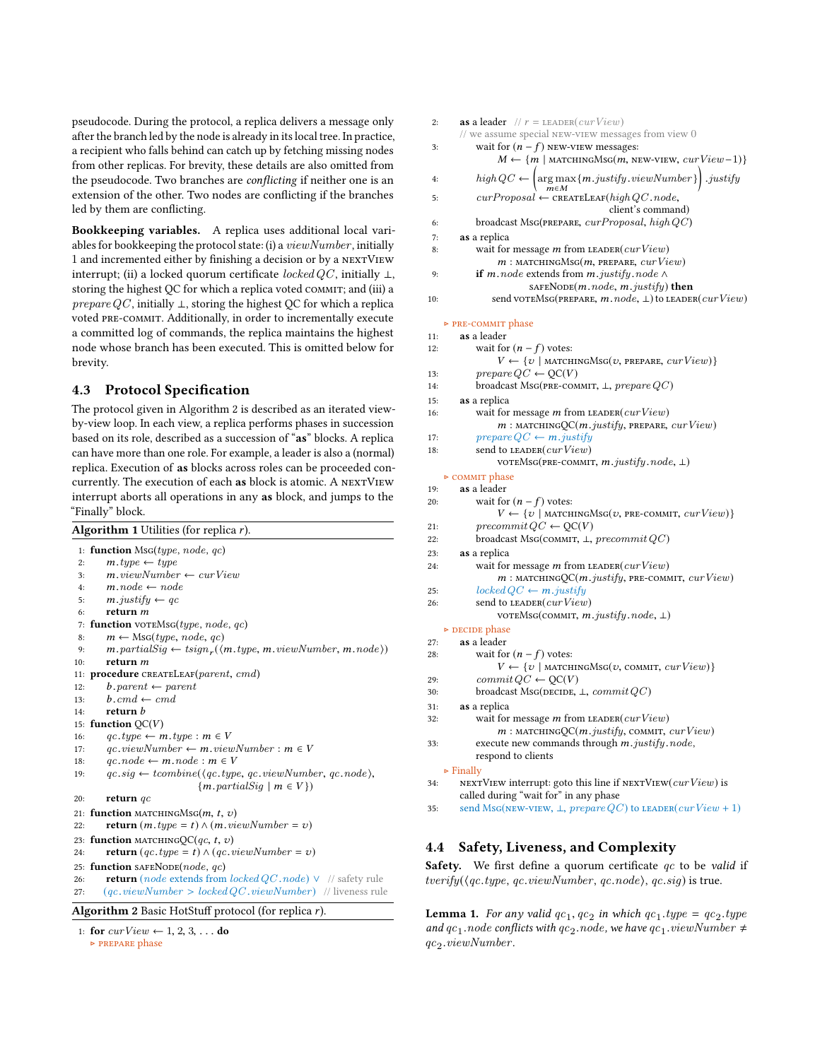pseudocode. During the protocol, a replica delivers a message only after the branch led by the node is already in its local tree. In practice, a recipient who falls behind can catch up by fetching missing nodes from other replicas. For brevity, these details are also omitted from the pseudocode. Two branches are conflicting if neither one is an extension of the other. Two nodes are conflicting if the branches led by them are conflicting.

Bookkeeping variables. A replica uses additional local variables for bookkeeping the protocol state: (i) a viewNumber , initially 1 and incremented either by finishing a decision or by a nextView interrupt; (ii) a locked quorum certificate  $locked \, QC$ , initially  $\bot$ , storing the highest QC for which a replica voted COMMIT; and (iii) a *prepare QC*, initially  $\perp$ , storing the highest QC for which a replica voted pre-commit. Additionally, in order to incrementally execute a committed log of commands, the replica maintains the highest node whose branch has been executed. This is omitted below for brevity.

# 4.3 Protocol Specification

The protocol given in Algorithm [2](#page-4-1) is described as an iterated viewby-view loop. In each view, a replica performs phases in succession based on its role, described as a succession of "as" blocks. A replica can have more than one role. For example, a leader is also a (normal) replica. Execution of as blocks across roles can be proceeded concurrently. The execution of each as block is atomic. A NEXTVIEW interrupt aborts all operations in any as block, and jumps to the "Finally" block.

| <b>Algorithm 1</b> Utilities (for replica $r$ ).                                  |                                                                                                 |  |
|-----------------------------------------------------------------------------------|-------------------------------------------------------------------------------------------------|--|
| 1: <b>function</b> MsG( <i>type</i> , <i>node</i> , <i>qc</i> )                   |                                                                                                 |  |
| $m. type \leftarrow type$<br>2:                                                   |                                                                                                 |  |
| $m$ , viewNumber $\leftarrow$ curView<br>3:                                       |                                                                                                 |  |
| $m, node \leftarrow node$<br>4:                                                   |                                                                                                 |  |
| $m$ . justify $\leftarrow$ qc<br>5:                                               |                                                                                                 |  |
| return $m$<br>6:                                                                  |                                                                                                 |  |
| <b>function</b> voreMs $g(type, node, qc)$<br>7:                                  |                                                                                                 |  |
| $m \leftarrow \text{MSG}(type, node, qc)$<br>8:                                   |                                                                                                 |  |
| 9:                                                                                | $m$ . partial $Sig \leftarrow tsign_r(\langle m, type, m, viewNumber, m, node \rangle)$         |  |
| return m<br>10:                                                                   |                                                                                                 |  |
| 11: procedure CREATELEAF(parent, cmd)                                             |                                                                                                 |  |
| $b.parent \leftarrow parent$<br>12:                                               |                                                                                                 |  |
| $b$ .cmd $\leftarrow$ cmd<br>13:                                                  |                                                                                                 |  |
| return <i>b</i><br>14:                                                            |                                                                                                 |  |
| 15: function $QC(V)$                                                              |                                                                                                 |  |
| $qc.\mathit{type} \leftarrow m.\mathit{type}: m \in V$<br>16:                     |                                                                                                 |  |
| $qc. viewNumber \leftarrow m. viewNumber : m \in V$<br>17:                        |                                                                                                 |  |
| $qc$ .node $\leftarrow m$ .node : $m \in V$<br>18:                                |                                                                                                 |  |
| 19:                                                                               | $qc.size \leftarrow combine(\langle qc_type, qc.valueNumber, qc.node \rangle)$                  |  |
|                                                                                   | $\{m.path: partialSig \mid m \in V\}\$                                                          |  |
| return $qc$<br>20:                                                                |                                                                                                 |  |
| 21: <b>function</b> MATCHINGMsG $(m, t, v)$                                       |                                                                                                 |  |
| <b>return</b> $(m. type = t) \wedge (m. viewNumber = v)$<br>22:                   |                                                                                                 |  |
| 23: <b>function</b> MATCHINGOC(qc, t, v)                                          |                                                                                                 |  |
| <b>return</b> $(qc.\textit{type} = t) \wedge (qc.\textit{viewNumber} = v)$<br>24: |                                                                                                 |  |
| 25: function SAFENODE( <i>node</i> , $qc$ )                                       |                                                                                                 |  |
| 26:                                                                               | <b>return</b> ( <i>node</i> extends from <i>locked QC</i> . <i>node</i> ) $\vee$ // safety rule |  |
| 27:                                                                               | $(qc, viewNumber > locked QC, viewNumber)$ // liveness rule                                     |  |
| <b>Algorithm 2</b> Basic HotStuff protocol (for replica $r$ ).                    |                                                                                                 |  |
|                                                                                   |                                                                                                 |  |

```
1: for curView \leftarrow 1, 2, 3, \ldots do
```
<span id="page-4-2"></span><span id="page-4-1"></span>▷ prepare phase

| 2:         | as a leader // $r =$ LEADER( $curView$ )<br>// we assume special NEW-VIEW messages from view 0             |
|------------|------------------------------------------------------------------------------------------------------------|
| 3:         | wait for $(n - f)$ NEW-VIEW messages:                                                                      |
|            | $M \leftarrow \{m \mid \text{matremnS} \& \text{S}(m, \text{new-VIEW}, \text{curView}-1)\}\$               |
| 4:         | $\left(\underset{m\in M}{\arg\max}\{m.justify.viewNumber\}\right).justify$<br>$high \, QC$ $\leftarrow$    |
| 5:         | $curProposal \leftarrow \texttt{CREATELEAF}(high\,QC.node,$<br>client's command)                           |
| 6:         | broadcast MsG(PREPARE, $curProposal$ , high $QC$ )                                                         |
| 7:         | as a replica                                                                                               |
| 8:         | wait for message m from LEADER( $curView$ )                                                                |
|            | $m:$ MATCHINGMsG( $m$ , PREPARE, $curView$ )                                                               |
| 9:         | if <i>m</i> . node extends from <i>m</i> . justify. node $\wedge$                                          |
|            | SAFENODE(m.node, m.justify) then                                                                           |
| 10:        | send VOTEMSG(PREPARE, $m$ . $node$ , $\perp$ ) to LEADER( $curView$ )                                      |
|            | ► PRE-COMMIT phase                                                                                         |
| 11:        | as a leader                                                                                                |
| 12:        | wait for $(n - f)$ votes:                                                                                  |
|            | $V \leftarrow \{v \mid \text{matchids}(v, \text{prepare, } curView) \}$                                    |
| 13:<br>14: | $prepareQC \leftarrow OC(V)$<br>broadcast MsG(PRE-COMMIT, $\bot$ , prepare $QC$ )                          |
|            |                                                                                                            |
| 15:<br>16: | as a replica<br>wait for message m from LEADER( $curView$ )                                                |
|            | $m:$ MATCHINGQC( $m$ . justify, PREPARE, $curView$ )                                                       |
| 17:        | $prepareQC \leftarrow m.justify$                                                                           |
| 18:        | send to LEADER( <i>curView</i> )                                                                           |
|            | VOTEMSG(PRE-COMMIT, m.justify.node, L)                                                                     |
|            | ⊳ COMMIT phase                                                                                             |
| 19:        | as a leader                                                                                                |
| 20:        | wait for $(n - f)$ votes:                                                                                  |
|            | $V \leftarrow \{v \mid \text{matremnG} \text{MSG}(v, \text{PRE-COMMIT}, \text{curView})\}$                 |
| 21:        | $precommit QC \leftarrow QC(V)$                                                                            |
| 22:        | broadcast MsG(COMMIT, $\perp$ , precommit QC)                                                              |
| 23:        | as a replica                                                                                               |
| 24:        | wait for message m from LEADER( $curView$ )<br>$m:$ MATCHINGQC( $m.java$ ijustify, PRE-COMMIT, $curView$ ) |
| 25:        | $locked \, QC \leftarrow m.java$                                                                           |
| 26:        | send to $\texttt{\tiny LEADER}(\textit{curView})$<br>VOTEMSG(COMMIT, $m$ . justify. node, $\perp$ )        |
|            | $\triangleright$ DECIDE phase                                                                              |
| 27:        | as a leader                                                                                                |
| 28:        | wait for $(n - f)$ votes:<br>$V \leftarrow \{v \mid \text{matchids}(v, \text{comm}, \text{curView})\}$     |
| 29:        | $commit QC \leftarrow OC(V)$                                                                               |
| 30:        | broadcast MsG(DECIDE, $\perp$ , commit QC)                                                                 |
| 31:        | as a replica                                                                                               |
| 32:        | wait for message $m$ from ${\tt LEADER}(\mathit{curView})$                                                 |
|            | $m:$ MATCHINGQC( $m.justify$ , COMMIT, $curView$ )                                                         |
| 33:        | execute new commands through m.justify.node,                                                               |
|            | respond to clients                                                                                         |
|            | $\triangleright$ Finally                                                                                   |
| 34:        | NEXTVIEW interrupt: goto this line if ${\tt NEXTVIEW}(curView)$ is                                         |
|            | called during "wait for" in any phase                                                                      |
| 35:        | send MsG(NEW-VIEW, $\perp$ , prepare QC) to LEADER(curView + 1)                                            |
|            |                                                                                                            |

# <span id="page-4-0"></span>4.4 Safety, Liveness, and Complexity

**Safety.** We first define a quorum certificate  $qc$  to be valid if  $tverify(\langle qc.type, qc.viewNumber, qc.node\rangle, qc.sig)$  is true.

<span id="page-4-3"></span>**Lemma 1.** For any valid  $qc_1, qc_2$  in which  $qc_1, type = qc_2, type$ <br>and  $ac, node$  conflicts with  $ac, node$  we have  $ac, viewNumber +$ and  $qc_1$  node conflicts with  $qc_2$  node, we have  $qc_1$  viewNumber  $\neq$ qc<sup>2</sup> .viewNumber .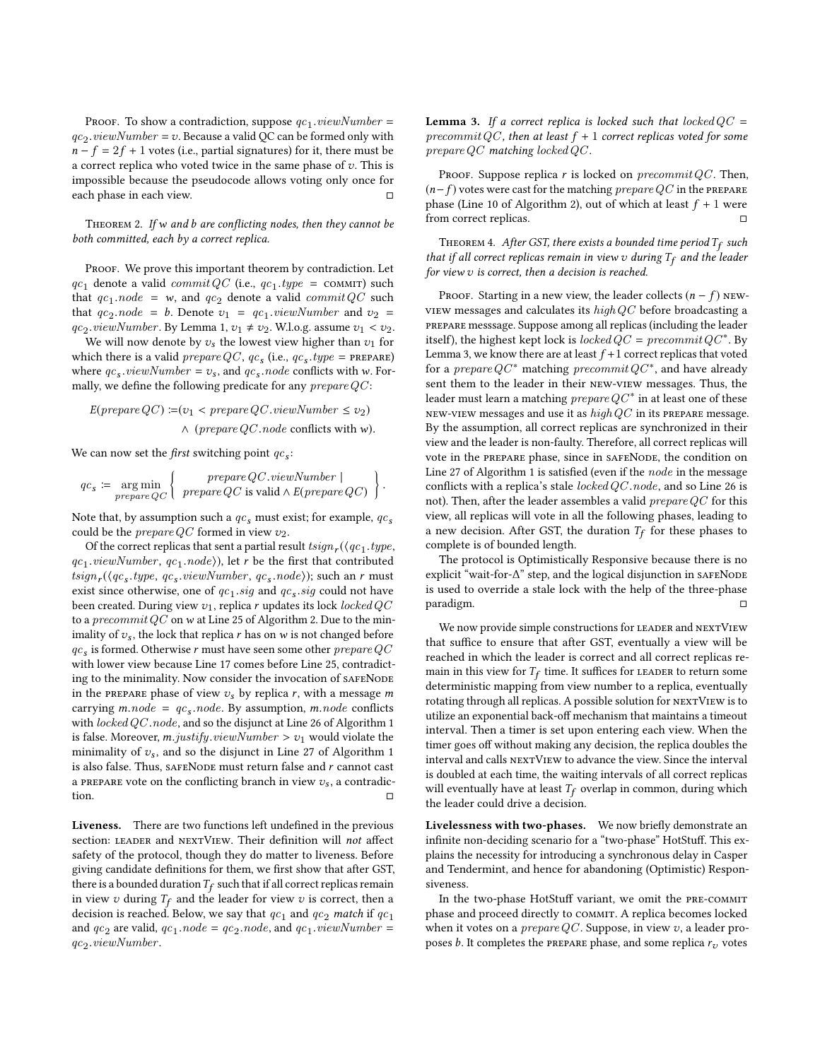Proof. To show a contradiction, suppose  $qc_1$ ,  $viewNumber =$ <br>...,  $viewNew$  =  $z_1$ , Because a valid OC can be formed only with  $qc_2. viewNumber = v. Because a valid QC can be formed only with$ <br> $n - f - 2f + 1$  votes (i.e., portial signatures) for it, there must be  $n - f = 2f + 1$  votes (i.e., partial signatures) for it, there must be a correct replica who voted twice in the same phase of  $v$ . This is impossible because the pseudocode allows voting only once for each phase in each view. □

THEOREM 2. If w and  $b$  are conflicting nodes, then they cannot be both committed, each by a correct replica.

PROOF. We prove this important theorem by contradiction. Let  $qc_1$  denote a valid *commit QC* (i.e.,  $qc_1$ ,  $type$  = commit) such that  $ac$ , node = y and  $ac$ , denote a valid  $commitOC$  such that  $qc_1$  node = w, and  $qc_2$  denote a valid commit QC such that  $ac_2$  node = b. Denote  $z_1$  =  $ac_2$  wiew Number and  $z_2$  = that  $qc_2$  node = b. Denote  $v_1 = qc_1$  viewNumber and  $v_2 =$ <br> $ac_2$  viewNumber By Lamma 1,  $v_1 \neq v_0$  WLo.g. assume  $v_1 \leq v_0$  $qc_2$  *viewNumber*. By Lemma [1,](#page-4-3)  $v_1 \neq v_2$ . W.l.o.g. assume  $v_1 < v_2$ .<br>We will now denote by z, the lowest view higher than zy for

We will now denote by  $v_s$  the lowest view higher than  $v_1$  for which there is a valid *prepare QC*,  $qc_s$  (i.e.,  $qc_s$ ,  $type$  = PREPARE)<br>where  $ac_s$  *nieu* Number =  $v_s$  and  $ac_s$  node conflicts with  $w_s$  Forwhere  $qc_s$  *viewNumber* =  $v_s$ , and  $qc_s$  *node* conflicts with w. For-<br>mally we define the following predicate for any *prenare OC*. mally, we define the following predicate for any  $prepareQC$ :

$$
E(prepare QC) := (v_1 < prepare QC.viewNumber \le v_2)
$$
\n
$$
\land \ (prepare QC.node \ conflicts \ with \ w).
$$

We can now set the *first* switching point  $qc_s$ :

$$
qc_s \coloneqq \underset{prepare}{\text{arg min}} \left\{ \begin{array}{c} \text{prepare } QC.\text{viewNumber } | \\ \text{prepare } QC \text{ is valid } \land E(\text{prepare } QC) \end{array} \right\}.
$$

Note that, by assumption such a  $qc_s$  must exist; for example,  $qc_s$ <br>could be the *prenare OC* formed in view zp. could be the *prepare QC* formed in view  $v_2$ .

Of the correct replicas that sent a partial result  $tsign_r$  ( $\langle qc_1.type,$ <br> $useuNumber, cc, node \rangle$ ) let r be the first that contributed  $qc_1$ , viewNumber,  $qc_1$ , node $\rangle$ ), let r be the first that contributed<br>teign ((gc, type, gc, yiewNumber, gc, node)); such an r must  $tsign_r(\langle qc_s, type, qc_s, viewNumber, qc_s, node \rangle);$  such an r must<br>exist since otherwise one of act sig and act sig could not have exist since otherwise, one of  $qc_1$ , sig and  $qc_s$ , sig could not have been created. During view  $v_1$ , replica r updates its lock locked  $QC$ to a *precommit QC* on w at Line [25](#page-4-1) of Algorithm [2.](#page-4-1) Due to the minimality of  $v_s$ , the lock that replica r has on w is not changed before  $qc_s$  is formed. Otherwise r must have seen some other *prepare QC* with lower view because Line [17](#page-4-1) comes before Line [25,](#page-4-1) contradicting to the minimality. Now consider the invocation of SAFENODE in the PREPARE phase of view  $v_s$  by replica r, with a message m carrying m.node =  $qc_s$ .node. By assumption, m.node conflicts<br>with locked OC node and so the disjunct at Line 26 of Algorithm 1 with  $locked \, QC. \, node$ , and so the disjunct at Line [26](#page-4-2) of Algorithm [1](#page-4-2) is false. Moreover, *m.justify.viewNumber* >  $v_1$  would violate the minimality of  $v_s$ , and so the disjunct in Line [27](#page-4-2) of Algorithm [1](#page-4-2) is also false. Thus, SAFENODE must return false and  $r$  cannot cast a PREPARE vote on the conflicting branch in view  $v_s$ , a contradiction. tion. □

Liveness. There are two functions left undefined in the previous section: LEADER and NEXTVIEW. Their definition will not affect safety of the protocol, though they do matter to liveness. Before giving candidate definitions for them, we first show that after GST, there is a bounded duration  $T_f$  such that if all correct replicas remain<br>in view  $\gamma$  during  $T_2$  and the leader for view  $\gamma$  is correct, then a in view  $v$  during  $T_f$  and the leader for view  $v$  is correct, then a decision is reached. Below, we say that  $\it{qc}_1$  and  $\it{qc}_2$  *match* if  $\it{qc}_1$ and  $qc_2$  are valid,  $qc_1$ .  $node = qc_2$ .  $node$ , and  $qc_1$ .  $viewNumber =$ qc<sup>2</sup> .viewNumber .

<span id="page-5-0"></span>**Lemma 3.** If a correct replica is locked such that locked  $QC =$ precommit QC, then at least  $f + 1$  correct replicas voted for some  $prepareQC$  matching locked  $QC$ .

PROOF. Suppose replica r is locked on  $precommit QC$ . Then,  $(n-f)$  votes were cast for the matching *prepare QC* in the PREPARE phase (Line [10](#page-4-1) of Algorithm [2\)](#page-4-1), out of which at least  $f + 1$  were from correct replicas. from correct replicas.

THEOREM 4. After GST, there exists a bounded time period  $T_f$  such<br>it if all correct replicas remain in view  $v_t$  during  $T_c$  and the leader that if all correct replicas remain in view  $v$  during  $T_f$  and the leader for view  $v$  is correct, then a decision is reached.

PROOF. Starting in a new view, the leader collects  $(n - f)$  NEWview messages and calculates its  $highQC$  before broadcasting a prepare messsage. Suppose among all replicas (including the leader itself), the highest kept lock is locked  $\hat{Q}C = precommit\,QC^*$ . By Lemma [3,](#page-5-0) we know there are at least  $f + 1$  correct replicas that voted for a prepare  $QC^*$  matching precommit  $QC^*$ , and have already sent them to the leader in their new-view messages. Thus, the leader must learn a matching  $prepareQC^*$  in at least one of these NEW-VIEW messages and use it as  $highQC$  in its prepare message. By the assumption, all correct replicas are synchronized in their view and the leader is non-faulty. Therefore, all correct replicas will vote in the PREPARE phase, since in SAFENODE, the condition on Line [27](#page-4-2) of Algorithm [1](#page-4-2) is satisfied (even if the node in the message conflicts with a replica's stale  $locked$   $QC$  .node, and so Line [26](#page-4-2) is not). Then, after the leader assembles a valid  $prepareQC$  for this view, all replicas will vote in all the following phases, leading to a new decision. After GST, the duration  $T_f$  for these phases to complete is of bounded length complete is of bounded length.

The protocol is Optimistically Responsive because there is no explicit "wait-for-∆" step, and the logical disjunction in SAFENODE is used to override a stale lock with the help of the three-phase paradigm.

We now provide simple constructions for LEADER and NEXTVIEW that suffice to ensure that after GST, eventually a view will be reached in which the leader is correct and all correct replicas remain in this view for  $T_f$  time. It suffices for LEADER to return some deterministic manning from view number to a replica eventually deterministic mapping from view number to a replica, eventually rotating through all replicas. A possible solution for NEXTVIEW is to utilize an exponential back-off mechanism that maintains a timeout interval. Then a timer is set upon entering each view. When the timer goes off without making any decision, the replica doubles the interval and calls nextView to advance the view. Since the interval is doubled at each time, the waiting intervals of all correct replicas will eventually have at least  $T_f$  overlap in common, during which the leader could drive a decision.

Livelessness with two-phases. We now briefly demonstrate an infinite non-deciding scenario for a "two-phase" HotStuff. This explains the necessity for introducing a synchronous delay in Casper and Tendermint, and hence for abandoning (Optimistic) Responsiveness.

In the two-phase HotStuff variant, we omit the pre-commit phase and proceed directly to COMMIT. A replica becomes locked when it votes on a  $prepareQC$ . Suppose, in view  $v$ , a leader proposes b. It completes the PREPARE phase, and some replica  $r_v$  votes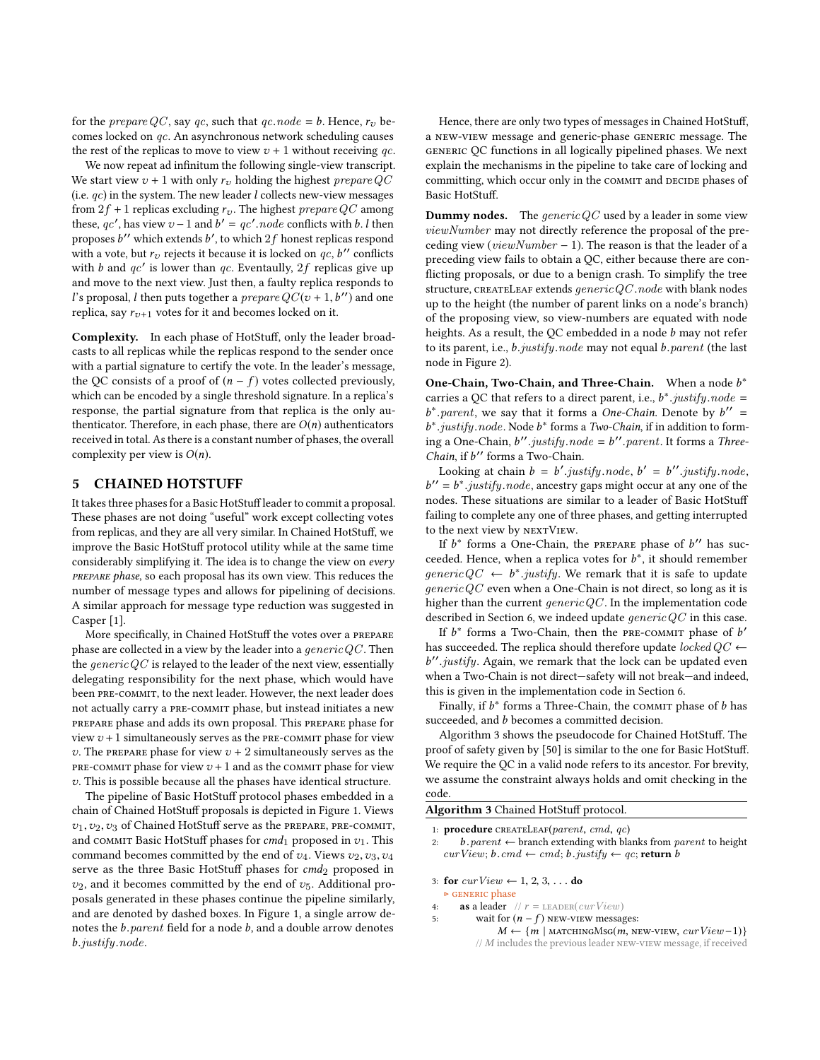for the *prepare QC*, say qc, such that  $qc$ . node = b. Hence,  $r_v$  becomes locked on qc. An asynchronous network scheduling causes the rest of the replicas to move to view  $v + 1$  without receiving qc.

We now repeat ad infinitum the following single-view transcript. We start view  $v + 1$  with only  $r_v$  holding the highest prepare QC (i.e.  $qc$ ) in the system. The new leader l collects new-view messages from  $2f + 1$  replicas excluding  $r_v$ . The highest prepare QC among these, qc', has view  $v - 1$  and  $b' = qc'.node$  conflicts with b. l then<br>proposes b'' which extends b' to which 2f honest replices respond proposes b'' which extends b', to which  $2f$  honest replicas respond<br>with a vote, but replicits it because it is locked on ace b'' conflicts with a vote, but  $r_v$  rejects it because it is locked on  $qc, b''$  conflicts<br>with h and  $qc'$  is lower than  $ac$ . Eventaully, 2f, replices give up with b and  $qc'$  is lower than qc. Eventaully,  $2f$  replicas give up<br>and move to the next view. Just then a faulty replica responds to and move to the next view. Just then, a faulty replica responds to l's proposal, l then puts together a *prepare*  $QC(v + 1, b'')$  and one replica say  $r_{v+1}$  votes for it and becomes locked on it. replica, say  $r_{v+1}$  votes for it and becomes locked on it.

Complexity. In each phase of HotStuff, only the leader broadcasts to all replicas while the replicas respond to the sender once with a partial signature to certify the vote. In the leader's message, the QC consists of a proof of  $(n - f)$  votes collected previously, which can be encoded by a single threshold signature. In a replica's response, the partial signature from that replica is the only authenticator. Therefore, in each phase, there are  $O(n)$  authenticators received in total. As there is a constant number of phases, the overall complexity per view is  $O(n)$ .

## <span id="page-6-0"></span>5 CHAINED HOTSTUFF

It takes three phases for a Basic HotStuff leader to commit a proposal. These phases are not doing "useful" work except collecting votes from replicas, and they are all very similar. In Chained HotStuff, we improve the Basic HotStuff protocol utility while at the same time considerably simplifying it. The idea is to change the view on every prepare phase, so each proposal has its own view. This reduces the number of message types and allows for pipelining of decisions. A similar approach for message type reduction was suggested in Casper [\[1\]](#page-8-4).

More specifically, in Chained HotStuff the votes over a prepare phase are collected in a view by the leader into a  $\theta$ eneric $QC$ . Then the  $genericQC$  is relayed to the leader of the next view, essentially delegating responsibility for the next phase, which would have been PRE-COMMIT, to the next leader. However, the next leader does not actually carry a pre-commit phase, but instead initiates a new prepare phase and adds its own proposal. This prepare phase for view  $v + 1$  simultaneously serves as the PRE-COMMIT phase for view  $v$ . The PREPARE phase for view  $v + 2$  simultaneously serves as the PRE-COMMIT phase for view  $v + 1$  and as the COMMIT phase for view v. This is possible because all the phases have identical structure.

The pipeline of Basic HotStuff protocol phases embedded in a chain of Chained HotStuff proposals is depicted in Figure [1.](#page-7-1) Views  $v_1, v_2, v_3$  of Chained HotStuff serve as the PREPARE, PRE-COMMIT, and COMMIT Basic HotStuff phases for  $cmd_1$  proposed in  $v_1$ . This command becomes committed by the end of  $v_4$ . Views  $v_2, v_3, v_4$ serve as the three Basic HotStuff phases for  $cmd_2$  proposed in  $v_2$ , and it becomes committed by the end of  $v_5$ . Additional proposals generated in these phases continue the pipeline similarly, and are denoted by dashed boxes. In Figure [1,](#page-7-1) a single arrow denotes the b.parent field for a node b, and a double arrow denotes b.justify.node.

Hence, there are only two types of messages in Chained HotStuff, a new-view message and generic-phase generic message. The generic QC functions in all logically pipelined phases. We next explain the mechanisms in the pipeline to take care of locking and committing, which occur only in the COMMIT and DECIDE phases of Basic HotStuff.

**Dummy nodes.** The generic  $QC$  used by a leader in some view viewNumber may not directly reference the proposal of the preceding view ( $viewNumber - 1$ ). The reason is that the leader of a preceding view fails to obtain a QC, either because there are conflicting proposals, or due to a benign crash. To simplify the tree structure, CREATELEAF extends  $generic QC node$  with blank nodes up to the height (the number of parent links on a node's branch) of the proposing view, so view-numbers are equated with node heights. As a result, the QC embedded in a node b may not refer to its parent, i.e., *b.justify.node* may not equal *b.parent* (the last node in Figure [2\)](#page-7-2).

**One-Chain, Two-Chain, and Three-Chain.** When a node  $b^*$ <br>carries a OC that refers to a direct parent, i.e.  $b^*$  *institution* carries a QC that refers to a direct parent, i.e.,  $b^*$ . *justify.node* =  $b^*$ . *norent*, we say that it forms a *One-Chain*. Denote by  $b'' =$  $b^*$ .justify.node. Node  $b^*$  forms a Two-Chain, if in addition to form-<br>ing a Que-Chain,  $b''$  instituted and  $-b''$  narrat. It forms a Three-\* parent, we say that it forms a One-Chain. Denote by  $b'' =$ <br>\* institution only Node  $b^*$  forms a Two-Chain if in addition to form  $\sum_{i=1}^{\infty}$  one-Chain, b''.justify.node = b''.parent. It forms a Three-<br>Chain if b''.forms a Two-Chain *Chain*, if  $b''$  forms a Two-Chain.<br>Looking at chain  $b = b'$  ive

Looking at chain  $b = b'$ . justify. node,  $b' = b''$ . justify. node,  $- b^*$  is justify. node, appearing point occur at any one of the b nodes. These situations are similar to a leader of Basic HotStuff  $\alpha' = b^*$ . justify. node, ancestry gaps might occur at any one of the odes. These situations are similar to a leader of Basic HotStuff failing to complete any one of three phases, and getting interrupted to the next view by NEXTVIEW.

If  $b^*$  forms a One-Chain, the PREPARE phase of  $b''$  has suc-<br>aded Hance when a replica votes for  $b^*$  it should remember ceeded. Hence, when a replica votes for  $b^*$ , it should remember<br>*generic OC*  $\leftarrow b^*$  *institu*. We remark that it is sofe to undate  $genericQC \leftarrow b^*$ .justify. We remark that it is safe to update<br>generic OC even when a One-Chain is not direct so long as it is  $generic QC$  even when a One-Chain is not direct, so long as it is higher than the current  $generic QC$ . In the implementation code described in Section [6,](#page-7-0) we indeed update  $genericQC$  in this case.

If  $b^*$  forms a Two-Chain, then the PRE-COMMIT phase of  $b'$ <br>s succeeded The replice should therefore undate locked OC has succeeded. The replica should therefore update  $locked \, QC \leftarrow$ when a Two-Chain is not direct—safety will not break—and indeed.  $\mu$  *justify*. Again, we remark that the lock can be updated even<br>then a Two-Chain is not direct—safety will not break—and indeed this is given in the implementation code in Section [6.](#page-7-0)

Finally, if  $b^*$  forms a Three-Chain, the COMMIT phase of  $b$  has succeeded, and *b* becomes a committed decision.

Algorithm [3](#page-6-1) shows the pseudocode for Chained HotStuff. The proof of safety given by [\[50\]](#page-9-45) is similar to the one for Basic HotStuff. We require the QC in a valid node refers to its ancestor. For brevity, we assume the constraint always holds and omit checking in the code.

Algorithm 3 Chained HotStuff protocol.

1: **procedure** CREATELEAF(*parent*, *cmd*, *qc*)<br>2: *b. parent*  $\leftarrow$  branch extending with bla

3: for  $curView \leftarrow 1, 2, 3, \ldots$  do

#### ▷ generic phase

- <span id="page-6-1"></span>4: **as a leader**  $// r = LEADER(curView)$ <br>5: **wait for**  $(n - f)$  **NEW-VIEW message** 
	- wait for  $(n f)$  NEW-VIEW messages:
		- $M \leftarrow \{m \mid \text{match}_MsG(m, new-VIEW, curView-1)\}\$ // M includes the previous leader new-view message, if received

 $b.parent \leftarrow branch$  extending with blanks from  $parent$  to height  $curView; b.cmd \leftarrow cmd; b.justify \leftarrow qc; return b$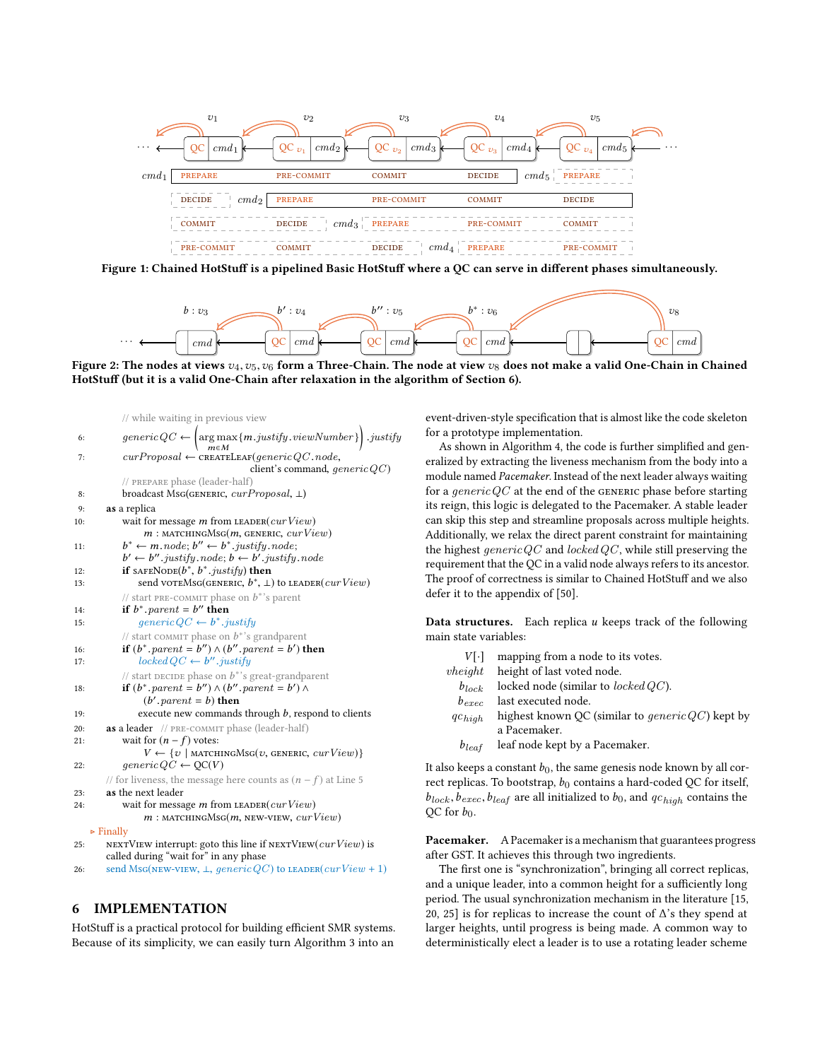<span id="page-7-1"></span>

<span id="page-7-2"></span>Figure 1: Chained HotStuff is a pipelined Basic HotStuff where a QC can serve in different phases simultaneously.



Figure 2: The nodes at views  $v_4, v_5, v_6$  form a Three-Chain. The node at view  $v_8$  does not make a valid One-Chain in Chained HotStuff (but it is a valid One-Chain after relaxation in the algorithm of Section [6\)](#page-7-0).

```
// while waiting in previous view
 6: qenericQC\left(\operatornamewithlimits{arg\,max}_{\boldsymbol{m}\in M}\{m.justify, viewNumber\}\right).justify\begin{array}{ll}\n \text{m} \in M \\
 \text{curProposal} \leftarrow \text{CREATELER}(\text{generic} \text{QC}.\text{node}, \text{client's command} \text{ or } \text{client's command} \text{ or } \text{client's command} \text{ or } \text{client's command} \end{array}client's command, qenericQC)
                // prepare phase (leader-half)
 8: broadcast Msg(GENERIC, curProposal, \perp)<br>9: as a replica
          as a replica
10: wait for message m from LEADER(curView)
                      m: MATCHINGMsG(m, GENERIC, curView)
11: \begin{array}{ccc} b & b \\ b & b \end{array}* ← m.node; b'' \leftarrow b^*.justify.node;<br>' ← b'' justify.node; b ← b' justify.
12: if sAFENODE(b^*, b^*, justify) then
                  \gamma \leftarrow b''. justify node; b \leftarrow b'. justify node
13: send voreMsG(G_{\text{E}}(E_{\text{E}}), b^*, \perp) to LEADER(curView)
                // start PRE-COMMIT phase on b^*'s parent<br>
if b^* parent – b'' then
14: if b^*, parent = b'' then
15: generic QC \leftarrow b^*. justify
                // start commit phase on b^*'s grandparent<br>
if (b^* narent = b'<sup>'</sup>) \wedge (b'' narent = b') f
16: if (b^*, parent = b'') \wedge (b'', parent = b') then<br>17: locked \vee C \leftarrow b'' institu
17: locked \, QC \leftarrow b''.justiny<br>
\qquad \qquad \text{listat program } \text{these} \text{ can } h^* \text{.'s}// start DECIDE phase on b^*'s great-grandparent<br>
if (b^* parent − b'') \wedge (b^{\prime\prime} parent − b') \wedge18: if (b^* \cdot parent = b'') \wedge (b'' \cdot parent = b') \wedge (b' \cdot parent = b')(b'.parent = b) then<br>yecute new commands
19: execute new commands through b, respond to clients<br>20: as a leader // PRE-COMMIT phase (leader-half)
          as a leader // PRE-COMMIT phase (leader-half)
21: wait for (n - f) votes:
                       V \leftarrow \{v \mid \text{matchungMsg}(v, \text{genenc}, \text{curView})\}22: generic QC \leftarrow QC(V)// for liveness, the message here counts as (n - f) 5
23: as the next leader
24: wait for message m from LEADER(curView)
                      m: MATCHINGMSG(m, NEW-VIEW, curView)
     ▷ Finally
25: NEXTVIEW interrupt: goto this line if NEXTVIEW(curView) is
          called during "wait for" in any phase
26: send MsG(NEW-VIEW, \bot, generic QC) to LEADER(curView + 1)
```
# <span id="page-7-0"></span>6 IMPLEMENTATION

HotStuff is a practical protocol for building efficient SMR systems. Because of its simplicity, we can easily turn Algorithm [3](#page-6-1) into an

event-driven-style specification that is almost like the code skeleton for a prototype implementation.

As shown in Algorithm [4,](#page-8-5) the code is further simplified and generalized by extracting the liveness mechanism from the body into a module named Pacemaker. Instead of the next leader always waiting for a *generic QC* at the end of the GENERIC phase before starting its reign, this logic is delegated to the Pacemaker. A stable leader can skip this step and streamline proposals across multiple heights. Additionally, we relax the direct parent constraint for maintaining the highest generic  $QC$  and locked  $QC$ , while still preserving the requirement that the QC in a valid node always refers to its ancestor. The proof of correctness is similar to Chained HotStuff and we also defer it to the appendix of [\[50\]](#page-9-45).

**Data structures.** Each replica  $u$  keeps track of the following main state variables:

| VI-l              | mapping from a node to its votes.                              |
|-------------------|----------------------------------------------------------------|
| $\n  theight\n$   | height of last voted node.                                     |
| $b_{lock}$        | locked node (similar to <i>locked QC</i> ).                    |
| $b_{\text{erec}}$ | last executed node.                                            |
| $qc_{high}$       | highest known QC (similar to <i>generic QC</i> ) kept by       |
|                   | a Pacemaker.                                                   |
| $b_{leaf}$        | leaf node kept by a Pacemaker.                                 |
|                   | so keeps a constant he the same genesis node known by all cor- |

It also keeps a constant  $b_0$ , the same genesis node known by all correct replicas. To bootstrap,  $b_0$  contains a hard-coded QC for itself,  $b_{lock}, b_{exec}, b_{leaf}$  are all initialized to  $b_0$ , and  $qc_{high}$  contains the QC for  $b_0$ .

Pacemaker. A Pacemaker is a mechanism that guarantees progress after GST. It achieves this through two ingredients.

The first one is "synchronization", bringing all correct replicas, and a unique leader, into a common height for a sufficiently long period. The usual synchronization mechanism in the literature [\[15,](#page-9-16) [20,](#page-9-8) [25\]](#page-9-3) is for replicas to increase the count of ∆'s they spend at larger heights, until progress is being made. A common way to deterministically elect a leader is to use a rotating leader scheme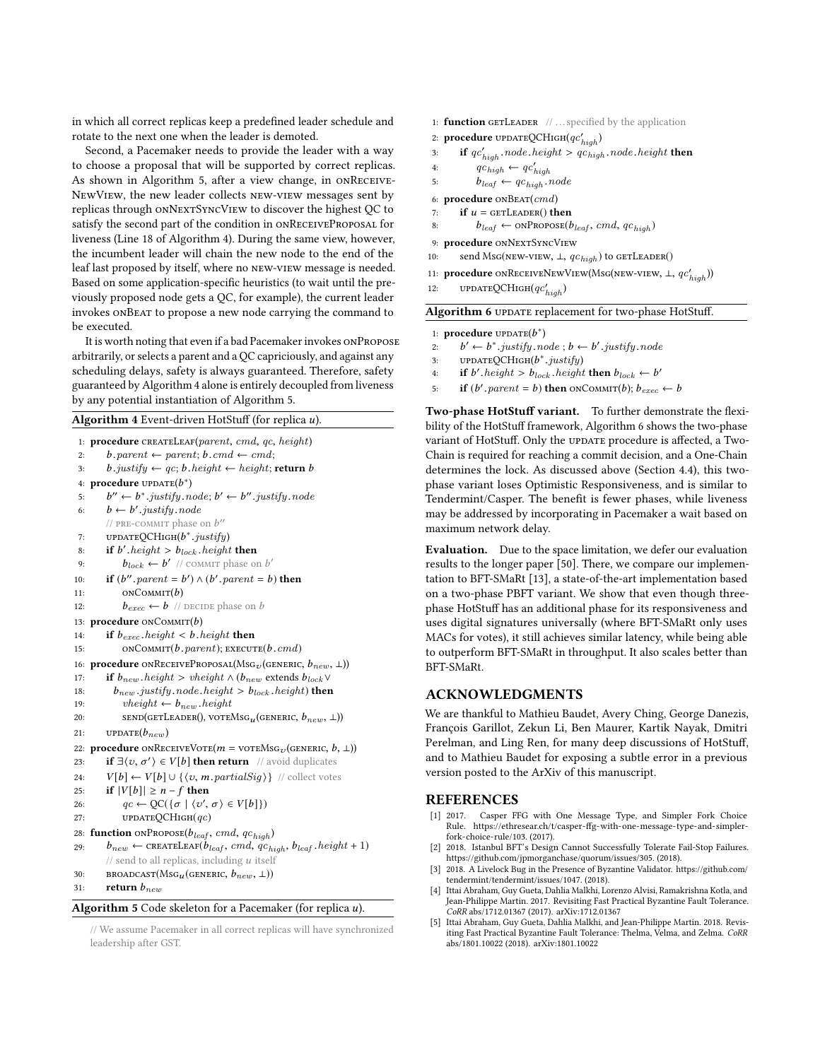in which all correct replicas keep a predefined leader schedule and rotate to the next one when the leader is demoted.

Second, a Pacemaker needs to provide the leader with a way to choose a proposal that will be supported by correct replicas. As shown in Algorithm [5,](#page-8-6) after a view change, in onReceive-NewView, the new leader collects new-view messages sent by replicas through onNextSyncView to discover the highest QC to satisfy the second part of the condition in onReceiveProposal for liveness (Line [18](#page-8-5) of Algorithm [4\)](#page-8-5). During the same view, however, the incumbent leader will chain the new node to the end of the leaf last proposed by itself, where no new-view message is needed. Based on some application-specific heuristics (to wait until the previously proposed node gets a QC, for example), the current leader invokes onBeat to propose a new node carrying the command to be executed.

It is worth noting that even if a bad Pacemaker invokes onPropose arbitrarily, or selects a parent and a QC capriciously, and against any scheduling delays, safety is always guaranteed. Therefore, safety guaranteed by Algorithm [4](#page-8-5) alone is entirely decoupled from liveness by any potential instantiation of Algorithm [5.](#page-8-6)

Algorithm 4 Event-driven HotStuff (for replica  $u$ ).

```
1: procedure CREATELEAF(parent, cmd, qc, height)<br>
\therefore h parent \leftarrow parent; h cmd \leftarrow cmd;
 2: b.parent ← parent; b.cmd ← cmd;<br>3: b.justify ← ac: b.height ← height: 1
            b.justify \leftarrow qc; b.height \leftarrow height; return b4: procedure \text{UPDATE}(b^*)5: b'' \leftarrow b^* justify node; b' \leftarrow b'' justify node
  6: b \leftarrow b'.justify.node<br>(i PPE COMMIT phase)
             // PRE-COMMIT phase on b''7: UPDATEQCHIGH(b^*. justify)
  8: if b' height > b_{lock} height then
  9: b_{lock} \leftarrow b' // commit phase on b'
 10: if (b'', parent = b') \wedge (b', parent = b) then
11: ONCOMMIT(b)<br>12: b_{exec} \leftarrow b //
                  b_{exec} \leftarrow b // DECIDE phase on b
13: procedure onCOMMIT(b)<br>14: if b_{exec}, height < b.
14: if b_{exec} \text{.} height < b \text{.} height then<br>15: ONCOMMIT(b. parent): EXECUT
                  ONCOMMIT(b.parent); EXECUTE(b.cmd)16: procedure onRECEIVEPROPOSAL(MSG<sub>V</sub>(GENERIC, b_{new}, ⊥))
17: if b_{new} height \land (b_{new} extends b_{lock} \lor 18: b_{new} institu node beight \gt{b_{test}} beight) then
18: b_{new}. justify .node.height > b_{lock}. height) then<br>19: theiabt \leftarrow b_{new}. height
19: \text{vheight} \leftarrow b_{new} \text{.} height<br>
20: \text{senp}(\text{GETLength}, \text{vorel})20: \text{SED}(\text{GETLeader}), \text{vortex}(\text{generror}, b_{new}, \perp))21: UPDATE(b_{new})<br>22: procedure ONREC
22: procedure onRECEIVEVOTE(m = \text{voreMsg}_v (GENERIC, b, \perp))<br>23: if \exists \langle v, \sigma' \rangle \in V[b] then return // avoid duplicates
 23: if \exists \langle v, \sigma' \rangle \in V[b] then return // avoid duplicates
24: V[b] \leftarrow V[b] \cup \{\langle v, m.partialSign \rangle\} // collect votes<br>25: if |V[b]| \ge n - f then
25: if |V[b]| \ge n - f then<br>26: ac \leftarrow OC(\lbrace \sigma \rbrace / v')26: qc \leftarrow QC({\{\sigma \mid \langle v', \sigma \rangle \in V[b]\}})<br>27. IPDATEOCHICH(ac)
27: UPDATEQCHIGH(qc)28: function \text{onPROPose}(b_{leaf}, \text{cmd}, qc_{high})<br>29: b_{new} \leftarrow \text{CREATELEAF}(b_{leaf}, \text{cmd}, qc_{hi})b_{new} \leftarrow \texttt{CREATELEAF}(b_{leaf}, \textit{cmd}, qc_{high}, b_{leaf}.\textit{height} + 1)\frac{1}{2} send to all replicas, including u itself
30: BROADCAST(MSG<sub>u</sub> (GENERIC, b_{new}, ⊥))<br>31: return b_{new}return b_{new}Algorithm 5 Code skeleton for a Pacemaker (for replica u).
```
<span id="page-8-6"></span><span id="page-8-5"></span>// We assume Pacemaker in all correct replicas will have synchronized leadership after GST.

```
1: function GETLEADER \mathcal{U} ... specified by the application
```

```
2: procedure \text{UPDATEQCHIGH}(qc'_{high})
```

```
3: if qc'_{high} node.height > qc_{high} node.height then
```

```
4: qc_{high} \leftarrow qc'_{high}
```
5:  $b_{leaf} \leftarrow qc_{high} \cdot node$ <br>6: **procedure**  $\text{onBERT}(cmd)$ 

procedure  $\text{onBear}(cmd)$ 

```
7: if u = \text{GETLEADER}() then<br>8: b_{leaf} \leftarrow \text{onPROPOSE}(b)
```
8:  $b_{leaf} \leftarrow \text{onPROPOSE}(b_{leaf}, \text{cmd}, \text{qc}_{high})$ <br>9: **procedure**  $\text{onNextSyncVrew}$ 

procedure ONNEXTSYNCVIEW

```
10: send Msg(NEW-VIEW, \perp, qc_{high}) to GETLEADER()
```

```
11: procedure onRECEIVENEWVIEW(MsG(NEW-VIEW, \perp, qc'_{high}))
```

```
12: UPDATEQCHIGH(qc'_{high})
```
Algorithm 6 UPDATE replacement for two-phase HotStuff.

```
1: procedure \text{UPDATE}(b^*)
```

```
2: b' \leftarrow b^*.justify.node; b \leftarrow b'.justify.node
```
- 3: UPDATEQCHIGH( $b^*$ . justify)<br>4. **if**  $b'$  height  $\gt b$ , height
- 4: if b' height >  $b_{lock}$  height then  $b_{lock} \leftarrow b'$
- 5: if  $(b'.parent = b)$  then ONCOMMIT $(b)$ ;  $b_{exec} \leftarrow b$

Two-phase HotStuff variant. To further demonstrate the flexibility of the HotStuff framework, Algorithm [6](#page-8-7) shows the two-phase variant of HotStuff. Only the UPDATE procedure is affected, a Two-Chain is required for reaching a commit decision, and a One-Chain determines the lock. As discussed above (Section [4.4\)](#page-4-0), this twophase variant loses Optimistic Responsiveness, and is similar to Tendermint/Casper. The benefit is fewer phases, while liveness may be addressed by incorporating in Pacemaker a wait based on maximum network delay.

Evaluation. Due to the space limitation, we defer our evaluation results to the longer paper [\[50\]](#page-9-45). There, we compare our implementation to BFT-SMaRt [\[13\]](#page-9-14), a state-of-the-art implementation based on a two-phase PBFT variant. We show that even though threephase HotStuff has an additional phase for its responsiveness and uses digital signatures universally (where BFT-SMaRt only uses MACs for votes), it still achieves similar latency, while being able to outperform BFT-SMaRt in throughput. It also scales better than BFT-SMaRt.

# ACKNOWLEDGMENTS

We are thankful to Mathieu Baudet, Avery Ching, George Danezis, François Garillot, Zekun Li, Ben Maurer, Kartik Nayak, Dmitri Perelman, and Ling Ren, for many deep discussions of HotStuff, and to Mathieu Baudet for exposing a subtle error in a previous version posted to the ArXiv of this manuscript.

### REFERENCES

- <span id="page-8-4"></span>[1] 2017. Casper FFG with One Message Type, and Simpler Fork Choice Rule. [https://ethresear.ch/t/casper-ffg-with-one-message-type-and-simpler](https://ethresear.ch/t/casper-ffg-with-one-message-type-and-simpler-fork-choice-rule/103)[fork-choice-rule/103.](https://ethresear.ch/t/casper-ffg-with-one-message-type-and-simpler-fork-choice-rule/103) (2017).
- <span id="page-8-1"></span>[2] 2018. Istanbul BFT's Design Cannot Successfully Tolerate Fail-Stop Failures. [https://github.com/jpmorganchase/quorum/issues/305.](https://github.com/jpmorganchase/quorum/issues/305) (2018).
- <span id="page-8-2"></span>[3] 2018. A Livelock Bug in the Presence of Byzantine Validator. [https://github.com/](https://github.com/tendermint/tendermint/issues/1047) [tendermint/tendermint/issues/1047.](https://github.com/tendermint/tendermint/issues/1047) (2018).
- <span id="page-8-0"></span>[4] Ittai Abraham, Guy Gueta, Dahlia Malkhi, Lorenzo Alvisi, Ramakrishna Kotla, and Jean-Philippe Martin. 2017. Revisiting Fast Practical Byzantine Fault Tolerance. CoRR abs/1712.01367 (2017). arXiv[:1712.01367](http://arxiv.org/abs/1712.01367)
- <span id="page-8-7"></span><span id="page-8-3"></span>[5] Ittai Abraham, Guy Gueta, Dahlia Malkhi, and Jean-Philippe Martin. 2018. Revisiting Fast Practical Byzantine Fault Tolerance: Thelma, Velma, and Zelma. CoRR abs/1801.10022 (2018). arXiv[:1801.10022](http://arxiv.org/abs/1801.10022)